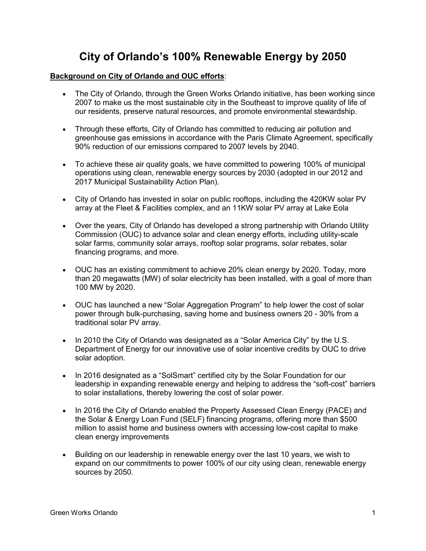# **City of Orlando's 100% Renewable Energy by 2050**

#### **Background on City of Orlando and OUC efforts**:

- The City of Orlando, through the Green Works Orlando initiative, has been working since 2007 to make us the most sustainable city in the Southeast to improve quality of life of our residents, preserve natural resources, and promote environmental stewardship.
- Through these efforts, City of Orlando has committed to reducing air pollution and greenhouse gas emissions in accordance with the Paris Climate Agreement, specifically 90% reduction of our emissions compared to 2007 levels by 2040.
- To achieve these air quality goals, we have committed to powering 100% of municipal operations using clean, renewable energy sources by 2030 (adopted in our 2012 and 2017 Municipal Sustainability Action Plan).
- City of Orlando has invested in solar on public rooftops, including the 420KW solar PV array at the Fleet & Facilities complex, and an 11KW solar PV array at Lake Eola
- Over the years, City of Orlando has developed a strong partnership with Orlando Utility Commission (OUC) to advance solar and clean energy efforts, including utility-scale solar farms, community solar arrays, rooftop solar programs, solar rebates, solar financing programs, and more.
- OUC has an existing commitment to achieve 20% clean energy by 2020. Today, more than 20 megawatts (MW) of solar electricity has been installed, with a goal of more than 100 MW by 2020.
- OUC has launched a new "Solar Aggregation Program" to help lower the cost of solar power through bulk-purchasing, saving home and business owners 20 - 30% from a traditional solar PV array.
- In 2010 the City of Orlando was designated as a "Solar America City" by the U.S. Department of Energy for our innovative use of solar incentive credits by OUC to drive solar adoption.
- In 2016 designated as a "SolSmart" certified city by the Solar Foundation for our leadership in expanding renewable energy and helping to address the "soft-cost" barriers to solar installations, thereby lowering the cost of solar power.
- In 2016 the City of Orlando enabled the Property Assessed Clean Energy (PACE) and the Solar & Energy Loan Fund (SELF) financing programs, offering more than \$500 million to assist home and business owners with accessing low-cost capital to make clean energy improvements
- Building on our leadership in renewable energy over the last 10 years, we wish to expand on our commitments to power 100% of our city using clean, renewable energy sources by 2050.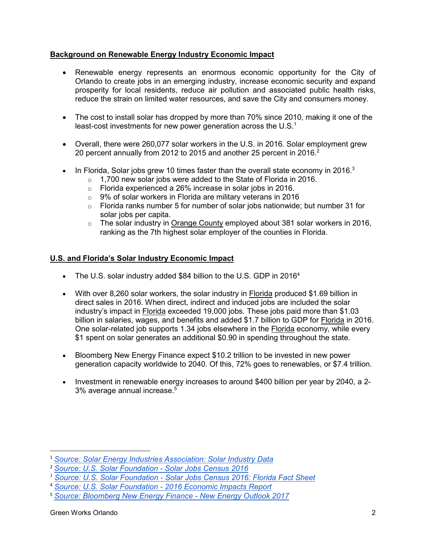### **Background on Renewable Energy Industry Economic Impact**

- Renewable energy represents an enormous economic opportunity for the City of Orlando to create jobs in an emerging industry, increase economic security and expand prosperity for local residents, reduce air pollution and associated public health risks, reduce the strain on limited water resources, and save the City and consumers money.
- The cost to install solar has dropped by more than 70% since 2010, making it one of the least-cost investments for new power generation across the U.S. $1$
- Overall, there were 260,077 solar workers in the U.S. in 2016. Solar employment grew 20 percent annually from 2012 to 2015 and another 25 percent in 2016. $2$
- In Florida, Solar jobs grew 10 times faster than the overall state economy in 2016.<sup>3</sup>
	- $\circ$  1,700 new solar jobs were added to the State of Florida in 2016.
	- o Florida experienced a 26% increase in solar jobs in 2016.
	- $\circ$  9% of solar workers in Florida are military veterans in 2016
	- $\circ$  Florida ranks number 5 for number of solar jobs nationwide; but number 31 for solar jobs per capita.
	- $\circ$  The solar industry in Orange County employed about 381 solar workers in 2016, ranking as the 7th highest solar employer of the counties in Florida.

### **U.S. and Florida's Solar Industry Economic Impact**

- The U.S. solar industry added \$84 billion to the U.S. GDP in 2016<sup>4</sup>
- With over 8,260 solar workers, the solar industry in Florida produced \$1.69 billion in direct sales in 2016. When direct, indirect and induced jobs are included the solar industry's impact in Florida exceeded 19,000 jobs. These jobs paid more than \$1.03 billion in salaries, wages, and benefits and added \$1.7 billion to GDP for Florida in 2016. One solar-related job supports 1.34 jobs elsewhere in the Florida economy, while every \$1 spent on solar generates an additional \$0.90 in spending throughout the state.
- Bloomberg New Energy Finance expect \$10.2 trillion to be invested in new power generation capacity worldwide to 2040. Of this, 72% goes to renewables, or \$7.4 trillion.
- Investment in renewable energy increases to around \$400 billion per year by 2040, a 2- 3% average annual increase.<sup>5</sup>

 $\overline{a}$ 

<sup>1</sup> *Source: Solar Energy Industries Association: Solar Industry Data*

<sup>2</sup> *Source: U.S. Solar Foundation - Solar Jobs Census 2016*

<sup>3</sup> *Source: U.S. Solar Foundation - Solar Jobs Census 2016: Florida Fact Sheet*

<sup>4</sup> *Source: U.S. Solar Foundation - 2016 Economic Impacts Report*

<sup>5</sup> *Source: Bloomberg New Energy Finance - New Energy Outlook 2017*